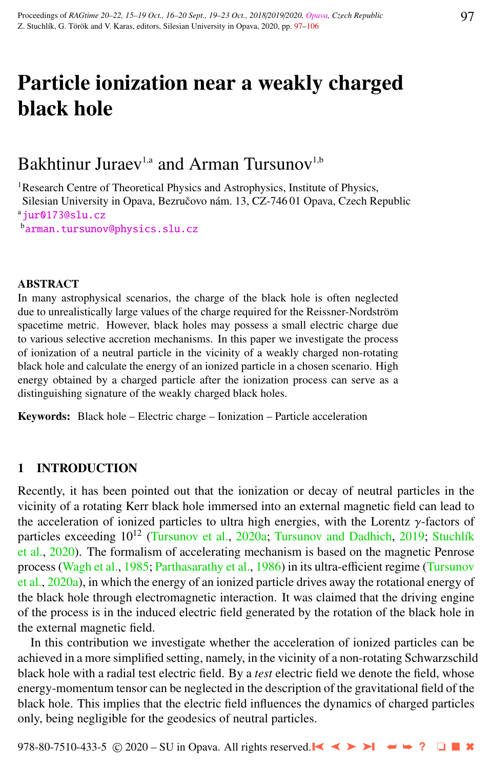# Particle ionization near a weakly charged black hole

# Bakhtinur Juraev<sup>1,a</sup> and Arman Tursunov<sup>1,b</sup>

<sup>1</sup>Research Centre of Theoretical Physics and Astrophysics, Institute of Physics, Silesian University in Opava, Bezručovo nám. 13, CZ-746 01 Opava, Czech Republic  $a$ [jur0173@slu.cz](http://www.physics.cz/ jur0173@slu.cz) <sup>b</sup>[arman.tursunov@physics.slu.cz](http://www.physics.cz/ arman.tursunov@physics.slu.cz)

#### ABSTRACT

In many astrophysical scenarios, the charge of the black hole is often neglected due to unrealistically large values of the charge required for the Reissner-Nordström spacetime metric. However, black holes may possess a small electric charge due to various selective accretion mechanisms. In this paper we investigate the process of ionization of a neutral particle in the vicinity of a weakly charged non-rotating black hole and calculate the energy of an ionized particle in a chosen scenario. High energy obtained by a charged particle after the ionization process can serve as a distinguishing signature of the weakly charged black holes.

Keywords: Black hole – Electric charge – Ionization – Particle acceleration

# 1 INTRODUCTION

Recently, it has been pointed out that the ionization or decay of neutral particles in the vicinity of a rotating Kerr black hole immersed into an external magnetic field can lead to the acceleration of ionized particles to ultra high energies, with the Lorentz γ-factors of particles exceeding  $10^{12}$  [\(Tursunov et al.,](#page-9-0) [2020a;](#page-9-0) [Tursunov and Dadhich,](#page-8-0) [2019;](#page-8-0) Stuchlík [et al.,](#page-8-0) [2020\)](#page-8-0). The formalism of accelerating mechanism is based on the magnetic Penrose process [\(Wagh et al.,](#page-9-0) [1985;](#page-9-0) [Parthasarathy et al.,](#page-8-0) [1986\)](#page-8-0) in its ultra-efficient regime [\(Tursunov](#page-9-0) [et al.,](#page-9-0) [2020a\)](#page-9-0), in which the energy of an ionized particle drives away the rotational energy of the black hole through electromagnetic interaction. It was claimed that the driving engine of the process is in the induced electric field generated by the rotation of the black hole in the external magnetic field.

In this contribution we investigate whether the acceleration of ionized particles can be achieved in a more simplified setting, namely, in the vicinity of a non-rotating Schwarzschild black hole with a radial test electric field. By a *test* electric field we denote the field, whose energy-momentum tensor can be neglected in the description of the gravitational field of the black hole. This implies that the electric field influences the dynamics of charged particles only, being negligible for the geodesics of neutral particles.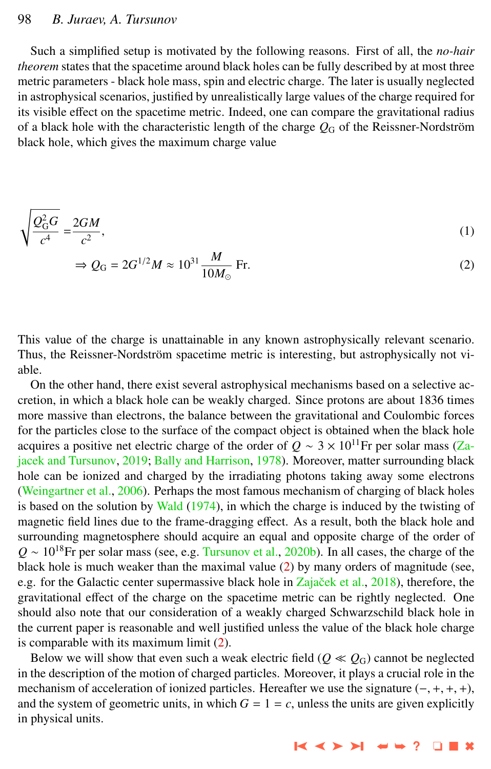# <span id="page-1-0"></span>98 *B. Juraev, A. Tursunov*

Such a simplified setup is motivated by the following reasons. First of all, the *no-hair theorem* states that the spacetime around black holes can be fully described by at most three metric parameters - black hole mass, spin and electric charge. The later is usually neglected in astrophysical scenarios, justified by unrealistically large values of the charge required for its visible effect on the spacetime metric. Indeed, one can compare the gravitational radius of a black hole with the characteristic length of the charge  $Q_G$  of the Reissner-Nordström black hole, which gives the maximum charge value

$$
\sqrt{\frac{Q_{\rm G}^2 G}{c^4}} = \frac{2GM}{c^2},\tag{1}
$$

$$
\Rightarrow Q_{\rm G} = 2G^{1/2}M \approx 10^{31} \frac{M}{10M_{\odot}} \text{Fr.}
$$
 (2)

This value of the charge is unattainable in any known astrophysically relevant scenario. Thus, the Reissner-Nordström spacetime metric is interesting, but astrophysically not viable.

On the other hand, there exist several astrophysical mechanisms based on a selective accretion, in which a black hole can be weakly charged. Since protons are about 1836 times more massive than electrons, the balance between the gravitational and Coulombic forces for the particles close to the surface of the compact object is obtained when the black hole acquires a positive net electric charge of the order of  $Q \sim 3 \times 10^{11}$ Fr per solar mass [\(Za](#page-9-0)[jacek and Tursunov,](#page-9-0) [2019;](#page-9-0) [Bally and Harrison,](#page-8-0) [1978\)](#page-8-0). Moreover, matter surrounding black hole can be ionized and charged by the irradiating photons taking away some electrons [\(Weingartner et al.,](#page-9-0) [2006\)](#page-9-0). Perhaps the most famous mechanism of charging of black holes is based on the solution by [Wald](#page-9-0) [\(1974\)](#page-9-0), in which the charge is induced by the twisting of magnetic field lines due to the frame-dragging effect. As a result, both the black hole and surrounding magnetosphere should acquire an equal and opposite charge of the order of  $Q \sim 10^{18}$ Fr per solar mass (see, e.g. [Tursunov et al.,](#page-9-0) [2020b\)](#page-9-0). In all cases, the charge of the black hole is much weaker than the maximal value  $(2)$  by many orders of magnitude (see, e.g. for the Galactic center supermassive black hole in Zajaček et al., [2018\)](#page-9-0), therefore, the gravitational effect of the charge on the spacetime metric can be rightly neglected. One should also note that our consideration of a weakly charged Schwarzschild black hole in the current paper is reasonable and well justified unless the value of the black hole charge is comparable with its maximum limit (2).

Below we will show that even such a weak electric field ( $Q \ll Q_G$ ) cannot be neglected in the description of the motion of charged particles. Moreover, it plays a crucial role in the mechanism of acceleration of ionized particles. Hereafter we use the signature  $(-, +, +, +)$ , and the system of geometric units, in which  $G = 1 = c$ , unless the units are given explicitly in physical units.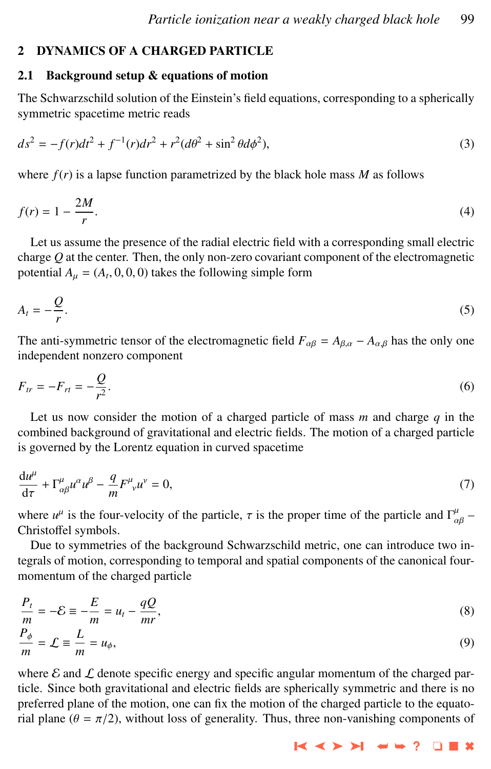# <span id="page-2-0"></span>2 DYNAMICS OF A CHARGED PARTICLE

# 2.1 Background setup & equations of motion

The Schwarzschild solution of the Einstein's field equations, corresponding to a spherically symmetric spacetime metric reads

$$
ds^{2} = -f(r)dt^{2} + f^{-1}(r)dr^{2} + r^{2}(d\theta^{2} + \sin^{2}\theta d\phi^{2}),
$$
\n(3)

where  $f(r)$  is a lapse function parametrized by the black hole mass M as follows

$$
f(r) = 1 - \frac{2M}{r}.\tag{4}
$$

Let us assume the presence of the radial electric field with a corresponding small electric charge *Q* at the center. Then, the only non-zero covariant component of the electromagnetic potential  $A_{\mu} = (A_t, 0, 0, 0)$  takes the following simple form

$$
A_t = -\frac{Q}{r}.\tag{5}
$$

The anti-symmetric tensor of the electromagnetic field  $F_{\alpha\beta} = A_{\beta,\alpha} - A_{\alpha,\beta}$  has the only one independent nonzero component

$$
F_{tr} = -F_{rt} = -\frac{Q}{r^2}.\tag{6}
$$

Let us now consider the motion of a charged particle of mass *m* and charge *q* in the combined background of gravitational and electric fields. The motion of a charged particle is governed by the Lorentz equation in curved spacetime

$$
\frac{du^{\mu}}{d\tau} + \Gamma^{\mu}_{\alpha\beta}u^{\alpha}u^{\beta} - \frac{q}{m}F^{\mu}_{\ \nu}u^{\nu} = 0,
$$
\n(7)

where  $u^{\mu}$  is the four-velocity of the particle,  $\tau$  is the proper time of the particle and  $\Gamma^{\mu}_{\alpha\beta}$  –<br>Christoffel symbols Christoffel symbols.

Due to symmetries of the background Schwarzschild metric, one can introduce two integrals of motion, corresponding to temporal and spatial components of the canonical fourmomentum of the charged particle

$$
\frac{P_t}{m} = -\mathcal{E} \equiv -\frac{E}{m} = u_t - \frac{qQ}{mr},
$$
\n
$$
\frac{P_{\phi}}{m} = \mathcal{L} \equiv \frac{L}{m} = u_{\phi},
$$
\n(8)

where  $\mathcal E$  and  $\mathcal L$  denote specific energy and specific angular momentum of the charged particle. Since both gravitational and electric fields are spherically symmetric and there is no preferred plane of the motion, one can fix the motion of the charged particle to the equatorial plane ( $\theta = \pi/2$ ), without loss of generality. Thus, three non-vanishing components of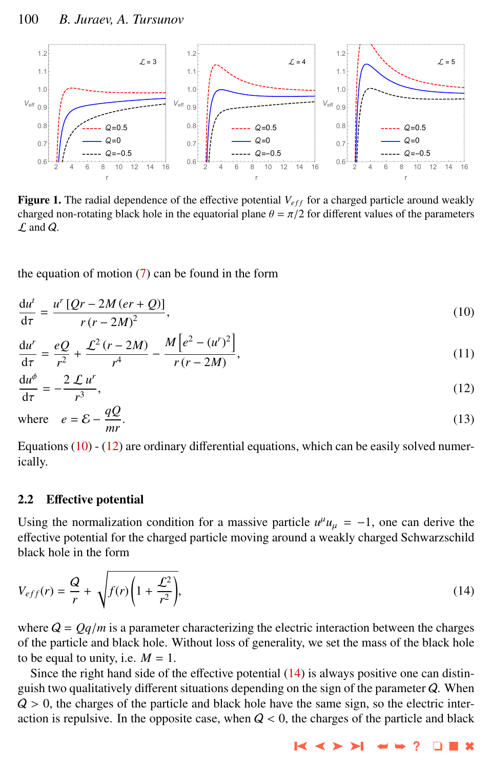<span id="page-3-0"></span>

**Figure 1.** The radial dependence of the effective potential  $V_{eff}$  for a charged particle around weakly charged non-rotating black hole in the equatorial plane  $\theta = \pi/2$  for different values of the parameters  $\mathcal L$  and  $\mathcal Q$ .

the equation of motion [\(7\)](#page-2-0) can be found in the form

$$
\frac{\mathrm{d}u^t}{\mathrm{d}\tau} = \frac{u^r \left[Qr - 2M\left(er + Q\right)\right]}{r\left(r - 2M\right)^2},\tag{10}
$$

$$
\frac{du^{r}}{d\tau} = \frac{eQ}{r^{2}} + \frac{\mathcal{L}^{2}(r - 2M)}{r^{4}} - \frac{M\left[e^{2} - (u^{r})^{2}\right]}{r(r - 2M)},
$$
\n(11)

$$
\frac{\mathrm{d}u^{\phi}}{\mathrm{d}\tau} = -\frac{2 \mathcal{L}u^{r}}{r^{3}},
$$
\n
$$
aO
$$
\n(12)

where 
$$
e = \mathcal{E} - \frac{qQ}{mr}
$$
. (13)

Equations  $(10)$  -  $(12)$  are ordinary differential equations, which can be easily solved numerically.

# 2.2 Effective potential

Using the normalization condition for a massive particle  $u^{\mu}u_{\mu} = -1$ , one can derive the officiative patential for the observed particle maying enound a weakly above of Sebweggeabild effective potential for the charged particle moving around a weakly charged Schwarzschild black hole in the form

$$
V_{eff}(r) = \frac{Q}{r} + \sqrt{f(r)\left(1 + \frac{\mathcal{L}^2}{r^2}\right)},
$$
\n(14)

where  $Q = Qq/m$  is a parameter characterizing the electric interaction between the charges of the particle and black hole. Without loss of generality, we set the mass of the black hole to be equal to unity, i.e.  $M = 1$ .

Since the right hand side of the effective potential (14) is always positive one can distinguish two qualitatively different situations depending on the sign of the parameter Q. When  $Q > 0$ , the charges of the particle and black hole have the same sign, so the electric interaction is repulsive. In the opposite case, when  $Q < 0$ , the charges of the particle and black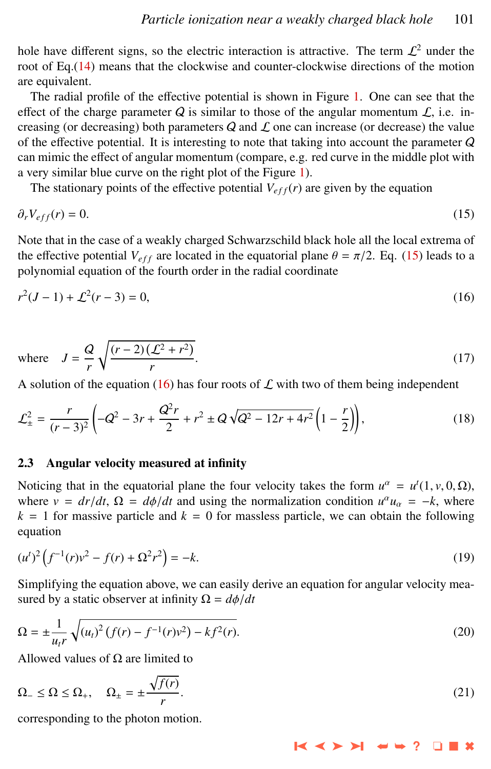<span id="page-4-0"></span>hole have different signs, so the electric interaction is attractive. The term  $\mathcal{L}^2$  under the root of Eq.[\(14\)](#page-3-0) means that the clockwise and counter-clockwise directions of the motion are equivalent.

The radial profile of the effective potential is shown in Figure [1.](#page-3-0) One can see that the effect of the charge parameter  $Q$  is similar to those of the angular momentum  $\mathcal{L}$ , i.e. increasing (or decreasing) both parameters  $Q$  and  $\mathcal L$  one can increase (or decrease) the value of the effective potential. It is interesting to note that taking into account the parameter Q can mimic the effect of angular momentum (compare, e.g. red curve in the middle plot with a very similar blue curve on the right plot of the Figure [1\)](#page-3-0).

The stationary points of the effective potential  $V_{eff}(r)$  are given by the equation

$$
\partial_r V_{eff}(r) = 0. \tag{15}
$$

Note that in the case of a weakly charged Schwarzschild black hole all the local extrema of the effective potential  $V_{eff}$  are located in the equatorial plane  $\theta = \pi/2$ . Eq. (15) leads to a polynomial equation of the fourth order in the radial coordinate

$$
r^2(J-1) + \mathcal{L}^2(r-3) = 0,\tag{16}
$$

where 
$$
J = \frac{Q}{r} \sqrt{\frac{(r-2)(\mathcal{L}^2 + r^2)}{r}}
$$
. (17)

A solution of the equation (16) has four roots of  $\mathcal L$  with two of them being independent

$$
\mathcal{L}_{\pm}^2 = \frac{r}{(r-3)^2} \left( -Q^2 - 3r + \frac{Q^2r}{2} + r^2 \pm Q\sqrt{Q^2 - 12r + 4r^2} \left( 1 - \frac{r}{2} \right) \right),\tag{18}
$$

#### 2.3 Angular velocity measured at infinity

Noticing that in the equatorial plane the four velocity takes the form  $u^{\alpha} = u^t(1, v, 0, \Omega)$ ,<br>where  $v = dr/dt$ ,  $\Omega = d\phi/dt$  and using the normalization condition  $u^{\alpha}u = -k$ , where where  $v = dr/dt$ ,  $\Omega = d\phi/dt$  and using the normalization condition  $u^{\alpha}u_{\alpha} = -k$ , where  $k = 1$  for massive particle and  $k = 0$  for massive particle we can obtain the following  $k = 1$  for massive particle and  $k = 0$  for massless particle, we can obtain the following equation

$$
(u')^{2} \left( f^{-1}(r)v^{2} - f(r) + \Omega^{2}r^{2} \right) = -k. \tag{19}
$$

Simplifying the equation above, we can easily derive an equation for angular velocity measured by a static observer at infinity  $\Omega = d\phi/dt$ 

$$
\Omega = \pm \frac{1}{u_t r} \sqrt{(u_t)^2 (f(r) - f^{-1}(r)v^2) - kf^2(r)}.
$$
\n(20)

Allowed values of  $\Omega$  are limited to

$$
\Omega_{-} \leq \Omega \leq \Omega_{+}, \quad \Omega_{\pm} = \pm \frac{\sqrt{f(r)}}{r}.
$$
\n(21)

corresponding to the photon motion.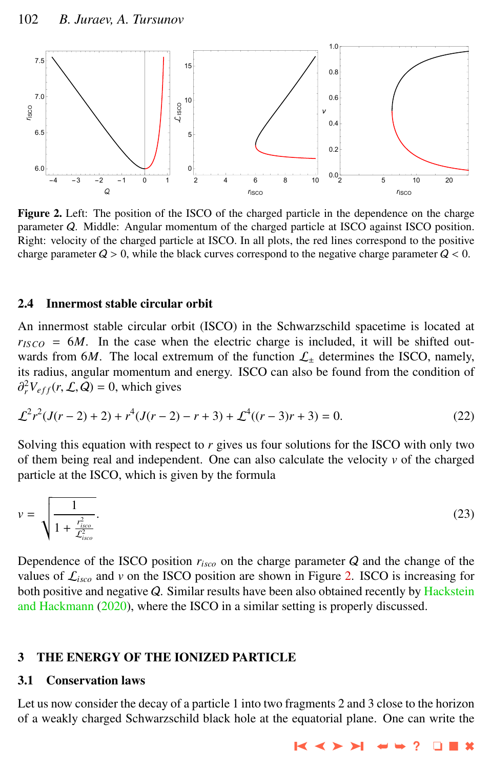

Figure 2. Left: The position of the ISCO of the charged particle in the dependence on the charge parameter Q. Middle: Angular momentum of the charged particle at ISCO against ISCO position. Right: velocity of the charged particle at ISCO. In all plots, the red lines correspond to the positive charge parameter  $Q > 0$ , while the black curves correspond to the negative charge parameter  $Q < 0$ .

### 2.4 Innermost stable circular orbit

An innermost stable circular orbit (ISCO) in the Schwarzschild spacetime is located at  $r_{ISCO} = 6M$ . In the case when the electric charge is included, it will be shifted outwards from 6*M*. The local extremum of the function  $\mathcal{L}_\pm$  determines the ISCO, namely, its radius, angular momentum and energy. ISCO can also be found from the condition of  ${}_{r}^{2}V_{eff}(r, \mathcal{L}, Q) = 0$ , which gives

$$
\mathcal{L}^2 r^2 (J(r-2) + 2) + r^4 (J(r-2) - r + 3) + \mathcal{L}^4 ((r-3)r + 3) = 0.
$$
 (22)

Solving this equation with respect to *r* gives us four solutions for the ISCO with only two of them being real and independent. One can also calculate the velocity  $\nu$  of the charged particle at the ISCO, which is given by the formula

$$
v = \sqrt{\frac{1}{1 + \frac{r_{isco}^2}{\mathcal{L}_{isco}^2}}}.
$$
\n(23)

Dependence of the ISCO position *risco* on the charge parameter Q and the change of the values of  $\mathcal{L}_{isco}$  and  $\nu$  on the ISCO position are shown in Figure 2. ISCO is increasing for both positive and negative Q. Similar results have been also obtained recently by [Hackstein](#page-8-0) [and Hackmann](#page-8-0) [\(2020\)](#page-8-0), where the ISCO in a similar setting is properly discussed.

# 3 THE ENERGY OF THE IONIZED PARTICLE

# 3.1 Conservation laws

Let us now consider the decay of a particle 1 into two fragments 2 and 3 close to the horizon of a weakly charged Schwarzschild black hole at the equatorial plane. One can write the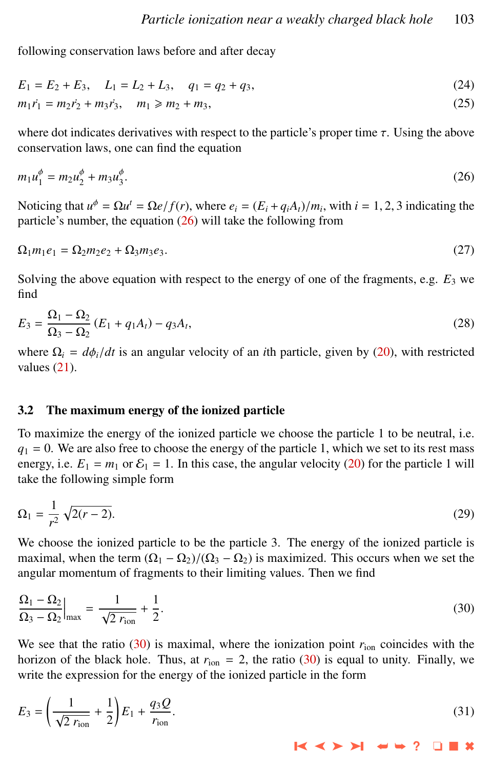following conservation laws before and after decay

$$
E_1 = E_2 + E_3, \quad L_1 = L_2 + L_3, \quad q_1 = q_2 + q_3,\tag{24}
$$

$$
m_1 \dot{r}_1 = m_2 \dot{r}_2 + m_3 \dot{r}_3, \quad m_1 \geq m_2 + m_3,
$$
\n(25)

where dot indicates derivatives with respect to the particle's proper time  $\tau$ . Using the above conservation laws, one can find the equation

$$
m_1 u_1^{\phi} = m_2 u_2^{\phi} + m_3 u_3^{\phi}.
$$
 (26)

Noticing that  $u^{\phi} = \Omega u^t = \Omega e/f(r)$ , where  $e_i = (E_i + q_i A_t)/m_i$ , with  $i = 1, 2, 3$  indicating the particle's number the equation (26) will take the following from particle's number, the equation (26) will take the following from

$$
\Omega_1 m_1 e_1 = \Omega_2 m_2 e_2 + \Omega_3 m_3 e_3. \tag{27}
$$

Solving the above equation with respect to the energy of one of the fragments, e.g.  $E_3$  we find

$$
E_3 = \frac{\Omega_1 - \Omega_2}{\Omega_3 - \Omega_2} (E_1 + q_1 A_t) - q_3 A_t,
$$
\n(28)

where  $\Omega_i = d\phi_i/dt$  is an angular velocity of an *i*th particle, given by [\(20\)](#page-4-0), with restricted values [\(21\)](#page-4-0).

# 3.2 The maximum energy of the ionized particle

To maximize the energy of the ionized particle we choose the particle 1 to be neutral, i.e.  $q_1 = 0$ . We are also free to choose the energy of the particle 1, which we set to its rest mass energy, i.e.  $E_1 = m_1$  or  $E_1 = 1$ . In this case, the angular velocity [\(20\)](#page-4-0) for the particle 1 will take the following simple form

$$
\Omega_1 = \frac{1}{r^2} \sqrt{2(r-2)}.
$$
\n(29)

We choose the ionized particle to be the particle 3. The energy of the ionized particle is maximal, when the term  $(\Omega_1 - \Omega_2)/(\Omega_3 - \Omega_2)$  is maximized. This occurs when we set the angular momentum of fragments to their limiting values. Then we find

$$
\frac{\Omega_1 - \Omega_2}{\Omega_3 - \Omega_2}\Big|_{\text{max}} = \frac{1}{\sqrt{2 r_{\text{ion}}}} + \frac{1}{2}.
$$
\n(30)

We see that the ratio (30) is maximal, where the ionization point  $r_{\text{ion}}$  coincides with the horizon of the black hole. Thus, at  $r_{\text{ion}} = 2$ , the ratio (30) is equal to unity. Finally, we write the expression for the energy of the ionized particle in the form

$$
E_3 = \left(\frac{1}{\sqrt{2} r_{\text{ion}}} + \frac{1}{2}\right) E_1 + \frac{q_3 Q}{r_{\text{ion}}}.
$$
\n(31)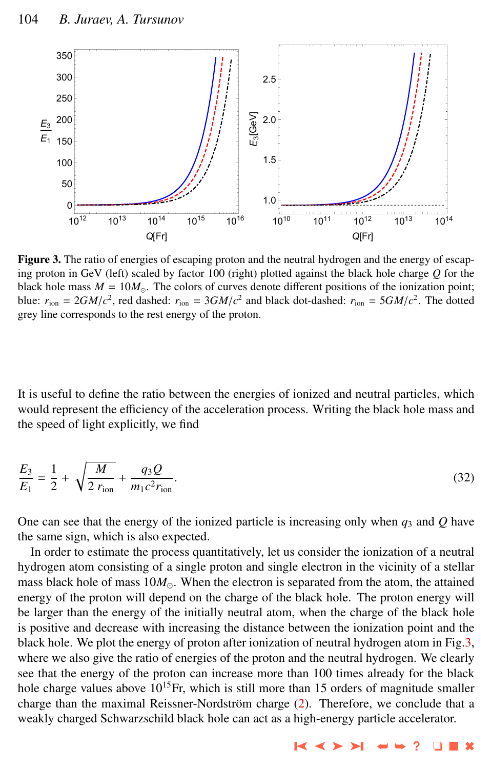

Figure 3. The ratio of energies of escaping proton and the neutral hydrogen and the energy of escaping proton in GeV (left) scaled by factor 100 (right) plotted against the black hole charge *Q* for the black hole mass  $M = 10M_{\odot}$ . The colors of curves denote different positions of the ionization point; blue:  $r_{\text{ion}} = 2GM/c^2$ , red dashed:  $r_{\text{ion}} = 3GM/c^2$  and black dot-dashed:  $r_{\text{ion}} = 5GM/c^2$ . The dotted grey line corresponds to the rest energy of the proton grey line corresponds to the rest energy of the proton.

It is useful to define the ratio between the energies of ionized and neutral particles, which would represent the efficiency of the acceleration process. Writing the black hole mass and the speed of light explicitly, we find

$$
\frac{E_3}{E_1} = \frac{1}{2} + \sqrt{\frac{M}{2 r_{\text{ion}}}} + \frac{q_3 Q}{m_1 c^2 r_{\text{ion}}}.
$$
\n(32)

One can see that the energy of the ionized particle is increasing only when  $q_3$  and  $Q$  have the same sign, which is also expected.

In order to estimate the process quantitatively, let us consider the ionization of a neutral hydrogen atom consisting of a single proton and single electron in the vicinity of a stellar mass black hole of mass  $10M_{\odot}$ . When the electron is separated from the atom, the attained energy of the proton will depend on the charge of the black hole. The proton energy will be larger than the energy of the initially neutral atom, when the charge of the black hole is positive and decrease with increasing the distance between the ionization point and the black hole. We plot the energy of proton after ionization of neutral hydrogen atom in Fig.3, where we also give the ratio of energies of the proton and the neutral hydrogen. We clearly see that the energy of the proton can increase more than 100 times already for the black hole charge values above  $10^{15}$ Fr, which is still more than 15 orders of magnitude smaller charge than the maximal Reissner-Nordström charge  $(2)$  $(2)$ . Therefore, we conclude that a weakly charged Schwarzschild black hole can act as a high-energy particle accelerator.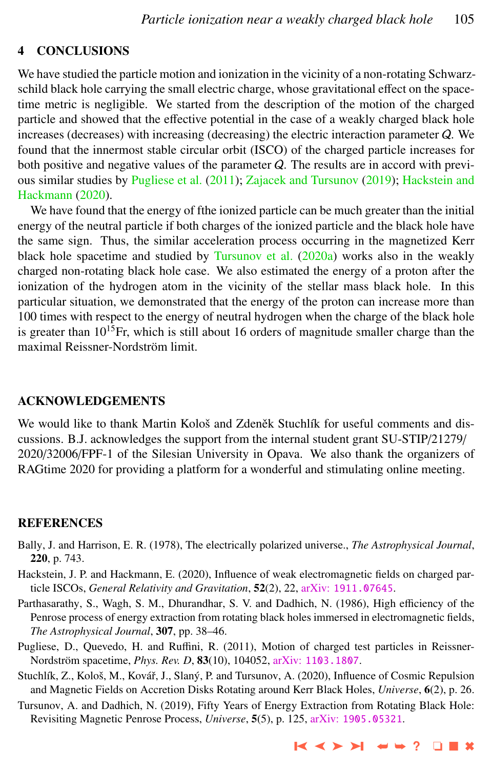# <span id="page-8-0"></span>4 CONCLUSIONS

We have studied the particle motion and ionization in the vicinity of a non-rotating Schwarzschild black hole carrying the small electric charge, whose gravitational effect on the spacetime metric is negligible. We started from the description of the motion of the charged particle and showed that the effective potential in the case of a weakly charged black hole increases (decreases) with increasing (decreasing) the electric interaction parameter Q. We found that the innermost stable circular orbit (ISCO) of the charged particle increases for both positive and negative values of the parameter Q. The results are in accord with previous similar studies by Pugliese et al. (2011); [Zajacek and Tursunov](#page-9-0) [\(2019\)](#page-9-0); Hackstein and Hackmann (2020).

We have found that the energy of fthe ionized particle can be much greater than the initial energy of the neutral particle if both charges of the ionized particle and the black hole have the same sign. Thus, the similar acceleration process occurring in the magnetized Kerr black hole spacetime and studied by [Tursunov et al.](#page-9-0) [\(2020a\)](#page-9-0) works also in the weakly charged non-rotating black hole case. We also estimated the energy of a proton after the ionization of the hydrogen atom in the vicinity of the stellar mass black hole. In this particular situation, we demonstrated that the energy of the proton can increase more than 100 times with respect to the energy of neutral hydrogen when the charge of the black hole is greater than  $10^{15}$ Fr, which is still about 16 orders of magnitude smaller charge than the maximal Reissner-Nordström limit.

#### ACKNOWLEDGEMENTS

We would like to thank Martin Kološ and Zdeněk Stuchlík for useful comments and discussions. B.J. acknowledges the support from the internal student grant SU-STIP/21279/ 2020/32006/FPF-1 of the Silesian University in Opava. We also thank the organizers of RAGtime 2020 for providing a platform for a wonderful and stimulating online meeting.

#### REFERENCES

- Bally, J. and Harrison, E. R. (1978), The electrically polarized universe., *The Astrophysical Journal*, 220, p. 743.
- Hackstein, J. P. and Hackmann, E. (2020), Influence of weak electromagnetic fields on charged particle ISCOs, *General Relativity and Gravitation*, 52(2), 22, arXiv: [1911.07645](http://www.arxiv.org/abs/1911.07645).
- Parthasarathy, S., Wagh, S. M., Dhurandhar, S. V. and Dadhich, N. (1986), High efficiency of the Penrose process of energy extraction from rotating black holes immersed in electromagnetic fields, *The Astrophysical Journal*, 307, pp. 38–46.
- Pugliese, D., Quevedo, H. and Ruffini, R. (2011), Motion of charged test particles in Reissner-Nordström spacetime, *Phys. Rev. D*, 83(10), 104052, arXiv: [1103.1807](http://www.arxiv.org/abs/1103.1807).
- Stuchlík, Z., Kološ, M., Kovář, J., Slaný, P. and Tursunov, A. (2020), Influence of Cosmic Repulsion and Magnetic Fields on Accretion Disks Rotating around Kerr Black Holes, *Universe*, 6(2), p. 26.
- Tursunov, A. and Dadhich, N. (2019), Fifty Years of Energy Extraction from Rotating Black Hole: Revisiting Magnetic Penrose Process, *Universe*, 5(5), p. 125, arXiv: [1905.05321](http://www.arxiv.org/abs/1905.05321).